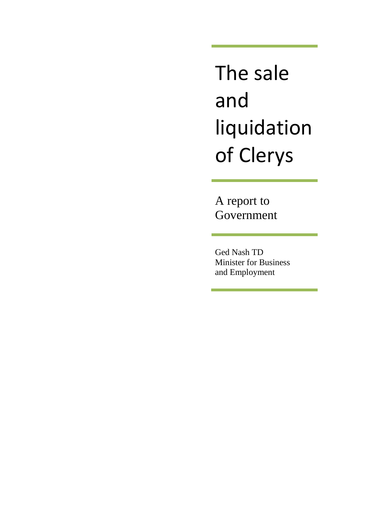The sale and liquidation of Clerys

A report to Government

Ged Nash TD Minister for Business and Employment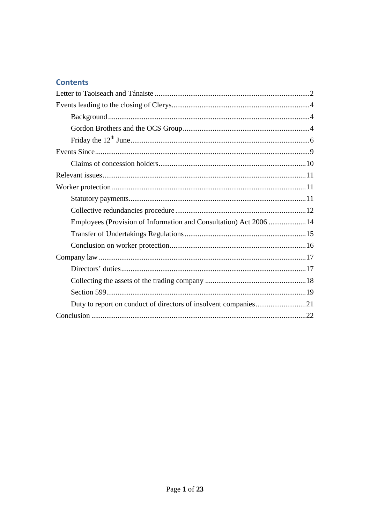# **Contents**

| Employees (Provision of Information and Consultation) Act 2006  14 |
|--------------------------------------------------------------------|
|                                                                    |
|                                                                    |
|                                                                    |
|                                                                    |
|                                                                    |
|                                                                    |
|                                                                    |
|                                                                    |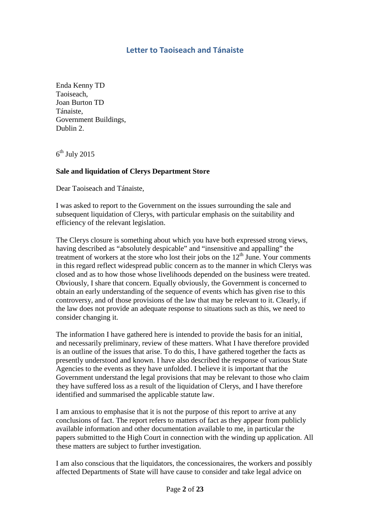# **Letter to Taoiseach and Tánaiste**

Enda Kenny TD Taoiseach, Joan Burton TD Tánaiste, Government Buildings, Dublin 2.

 $6^{\text{th}}$  July 2015

#### **Sale and liquidation of Clerys Department Store**

Dear Taoiseach and Tánaiste,

I was asked to report to the Government on the issues surrounding the sale and subsequent liquidation of Clerys, with particular emphasis on the suitability and efficiency of the relevant legislation.

The Clerys closure is something about which you have both expressed strong views, having described as "absolutely despicable" and "insensitive and appalling" the treatment of workers at the store who lost their jobs on the 12th June. Your comments in this regard reflect widespread public concern as to the manner in which Clerys was closed and as to how those whose livelihoods depended on the business were treated. Obviously, I share that concern. Equally obviously, the Government is concerned to obtain an early understanding of the sequence of events which has given rise to this controversy, and of those provisions of the law that may be relevant to it. Clearly, if the law does not provide an adequate response to situations such as this, we need to consider changing it.

The information I have gathered here is intended to provide the basis for an initial, and necessarily preliminary, review of these matters. What I have therefore provided is an outline of the issues that arise. To do this, I have gathered together the facts as presently understood and known. I have also described the response of various State Agencies to the events as they have unfolded. I believe it is important that the Government understand the legal provisions that may be relevant to those who claim they have suffered loss as a result of the liquidation of Clerys, and I have therefore identified and summarised the applicable statute law.

I am anxious to emphasise that it is not the purpose of this report to arrive at any conclusions of fact. The report refers to matters of fact as they appear from publicly available information and other documentation available to me, in particular the papers submitted to the High Court in connection with the winding up application. All these matters are subject to further investigation.

I am also conscious that the liquidators, the concessionaires, the workers and possibly affected Departments of State will have cause to consider and take legal advice on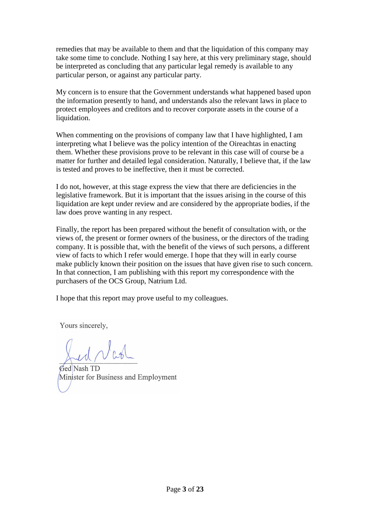remedies that may be available to them and that the liquidation of this company may take some time to conclude. Nothing I say here, at this very preliminary stage, should be interpreted as concluding that any particular legal remedy is available to any particular person, or against any particular party.

My concern is to ensure that the Government understands what happened based upon the information presently to hand, and understands also the relevant laws in place to protect employees and creditors and to recover corporate assets in the course of a liquidation.

When commenting on the provisions of company law that I have highlighted, I am interpreting what I believe was the policy intention of the Oireachtas in enacting them. Whether these provisions prove to be relevant in this case will of course be a matter for further and detailed legal consideration. Naturally, I believe that, if the law is tested and proves to be ineffective, then it must be corrected.

I do not, however, at this stage express the view that there are deficiencies in the legislative framework. But it is important that the issues arising in the course of this liquidation are kept under review and are considered by the appropriate bodies, if the law does prove wanting in any respect.

Finally, the report has been prepared without the benefit of consultation with, or the views of, the present or former owners of the business, or the directors of the trading company. It is possible that, with the benefit of the views of such persons, a different view of facts to which I refer would emerge. I hope that they will in early course make publicly known their position on the issues that have given rise to such concern. In that connection, I am publishing with this report my correspondence with the purchasers of the OCS Group, Natrium Ltd.

I hope that this report may prove useful to my colleagues.

Yours sincerely,

Ged Nash TD Minister for Business and Employment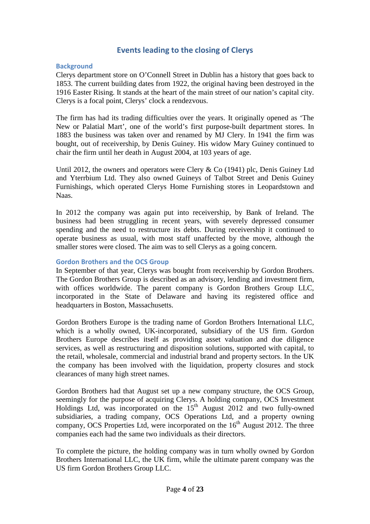# **Events leading to the closing of Clerys**

#### **Background**

Clerys department store on O'Connell Street in Dublin has a history that goes back to 1853. The current building dates from 1922, the original having been destroyed in the 1916 Easter Rising. It stands at the heart of the main street of our nation's capital city. Clerys is a focal point, Clerys' clock a rendezvous.

The firm has had its trading difficulties over the years. It originally opened as 'The New or Palatial Mart', one of the world's first purpose-built department stores. In 1883 the business was taken over and renamed by MJ Clery. In 1941 the firm was bought, out of receivership, by Denis Guiney. His widow Mary Guiney continued to chair the firm until her death in August 2004, at 103 years of age.

Until 2012, the owners and operators were Clery & Co (1941) plc, Denis Guiney Ltd and Yterrbium Ltd. They also owned Guineys of Talbot Street and Denis Guiney Furnishings, which operated Clerys Home Furnishing stores in Leopardstown and Naas.

In 2012 the company was again put into receivership, by Bank of Ireland. The business had been struggling in recent years, with severely depressed consumer spending and the need to restructure its debts. During receivership it continued to operate business as usual, with most staff unaffected by the move, although the smaller stores were closed. The aim was to sell Clerys as a going concern.

#### **Gordon Brothers and the OCS Group**

In September of that year, Clerys was bought from receivership by Gordon Brothers. The Gordon Brothers Group is described as an advisory, lending and investment firm, with offices worldwide. The parent company is Gordon Brothers Group LLC, incorporated in the State of Delaware and having its registered office and headquarters in Boston, Massachusetts.

Gordon Brothers Europe is the trading name of Gordon Brothers International LLC, which is a wholly owned, UK-incorporated, subsidiary of the US firm. Gordon Brothers Europe describes itself as providing asset valuation and due diligence services, as well as restructuring and disposition solutions, supported with capital, to the retail, wholesale, commercial and industrial brand and property sectors. In the UK the company has been involved with the liquidation, property closures and stock clearances of many high street names.

Gordon Brothers had that August set up a new company structure, the OCS Group, seemingly for the purpose of acquiring Clerys. A holding company, OCS Investment Holdings Ltd, was incorporated on the  $15<sup>th</sup>$  August 2012 and two fully-owned subsidiaries, a trading company, OCS Operations Ltd, and a property owning company, OCS Properties Ltd, were incorporated on the  $16<sup>th</sup>$  August 2012. The three companies each had the same two individuals as their directors.

To complete the picture, the holding company was in turn wholly owned by Gordon Brothers International LLC, the UK firm, while the ultimate parent company was the US firm Gordon Brothers Group LLC.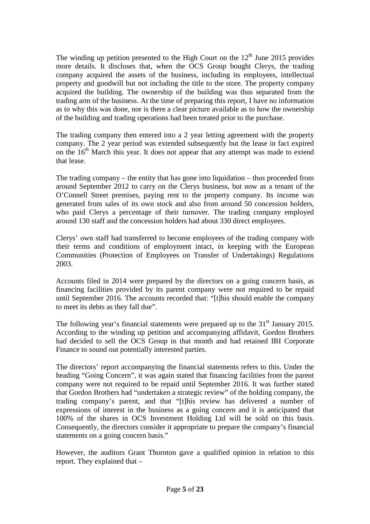The winding up petition presented to the High Court on the  $12<sup>th</sup>$  June 2015 provides more details. It discloses that, when the OCS Group bought Clerys, the trading company acquired the assets of the business, including its employees, intellectual property and goodwill but not including the title to the store. The property company acquired the building. The ownership of the building was thus separated from the trading arm of the business. At the time of preparing this report, I have no information as to why this was done, nor is there a clear picture available as to how the ownership of the building and trading operations had been treated prior to the purchase.

The trading company then entered into a 2 year letting agreement with the property company. The 2 year period was extended subsequently but the lease in fact expired on the  $16<sup>th</sup>$  March this year. It does not appear that any attempt was made to extend that lease.

The trading company – the entity that has gone into liquidation – thus proceeded from around September 2012 to carry on the Clerys business, but now as a tenant of the O'Connell Street premises, paying rent to the property company. Its income was generated from sales of its own stock and also from around 50 concession holders, who paid Clerys a percentage of their turnover. The trading company employed around 130 staff and the concession holders had about 330 direct employees.

Clerys' own staff had transferred to become employees of the trading company with their terms and conditions of employment intact, in keeping with the European Communities (Protection of Employees on Transfer of Undertakings) Regulations 2003.

Accounts filed in 2014 were prepared by the directors on a going concern basis, as financing facilities provided by its parent company were not required to be repaid until September 2016. The accounts recorded that: "[t]his should enable the company to meet its debts as they fall due".

The following year's financial statements were prepared up to the  $31<sup>st</sup>$  January 2015. According to the winding up petition and accompanying affidavit, Gordon Brothers had decided to sell the OCS Group in that month and had retained IBI Corporate Finance to sound out potentially interested parties.

The directors' report accompanying the financial statements refers to this. Under the heading "Going Concern", it was again stated that financing facilities from the parent company were not required to be repaid until September 2016. It was further stated that Gordon Brothers had "undertaken a strategic review" of the holding company, the trading company's parent, and that "[t]his review has delivered a number of expressions of interest in the business as a going concern and it is anticipated that 100% of the shares in OCS Investment Holding Ltd will be sold on this basis. Consequently, the directors consider it appropriate to prepare the company's financial statements on a going concern basis."

However, the auditors Grant Thornton gave a qualified opinion in relation to this report. They explained that –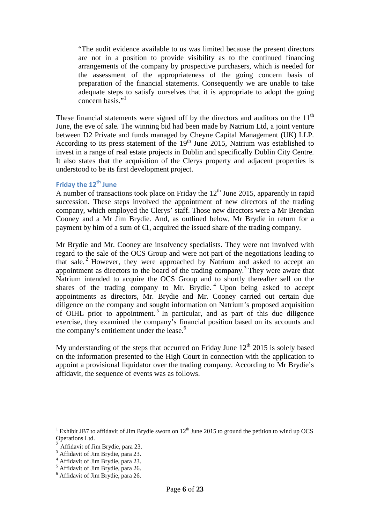"The audit evidence available to us was limited because the present directors are not in a position to provide visibility as to the continued financing arrangements of the company by prospective purchasers, which is needed for the assessment of the appropriateness of the going concern basis of preparation of the financial statements. Consequently we are unable to take adequate steps to satisfy ourselves that it is appropriate to adopt the going concern basis."<sup>1</sup>

These financial statements were signed off by the directors and auditors on the  $11<sup>th</sup>$ June, the eve of sale. The winning bid had been made by Natrium Ltd, a joint venture between D2 Private and funds managed by Cheyne Capital Management (UK) LLP. According to its press statement of the  $19<sup>th</sup>$  June 2015, Natrium was established to invest in a range of real estate projects in Dublin and specifically Dublin City Centre. It also states that the acquisition of the Clerys property and adjacent properties is understood to be its first development project.

# **Friday the 12th June**

A number of transactions took place on Friday the  $12<sup>th</sup>$  June 2015, apparently in rapid succession. These steps involved the appointment of new directors of the trading company, which employed the Clerys' staff. Those new directors were a Mr Brendan Cooney and a Mr Jim Brydie. And, as outlined below, Mr Brydie in return for a payment by him of a sum of  $\epsilon$ 1, acquired the issued share of the trading company.

Mr Brydie and Mr. Cooney are insolvency specialists. They were not involved with regard to the sale of the OCS Group and were not part of the negotiations leading to that sale.<sup>2</sup> However, they were approached by Natrium and asked to accept an appointment as directors to the board of the trading company.<sup>3</sup> They were aware that Natrium intended to acquire the OCS Group and to shortly thereafter sell on the shares of the trading company to Mr. Brydie.<sup>4</sup> Upon being asked to accept appointments as directors, Mr. Brydie and Mr. Cooney carried out certain due diligence on the company and sought information on Natrium's proposed acquisition of OIHL prior to appointment.<sup>5</sup> In particular, and as part of this due diligence exercise, they examined the company's financial position based on its accounts and the company's entitlement under the lease. $6$ 

My understanding of the steps that occurred on Friday June  $12<sup>th</sup> 2015$  is solely based on the information presented to the High Court in connection with the application to appoint a provisional liquidator over the trading company. According to Mr Brydie's affidavit, the sequence of events was as follows.

<sup>&</sup>lt;sup>1</sup> Exhibit JB7 to affidavit of Jim Brydie sworn on 12<sup>th</sup> June 2015 to ground the petition to wind up OCS Operations Ltd.

<sup>2</sup> Affidavit of Jim Brydie, para 23.

<sup>&</sup>lt;sup>3</sup> Affidavit of Jim Brydie, para 23.

<sup>&</sup>lt;sup>4</sup> Affidavit of Jim Brydie, para 23.<br><sup>5</sup> Affidavit of Jim Brydie, para 26.

<sup>6</sup> Affidavit of Jim Brydie, para 26.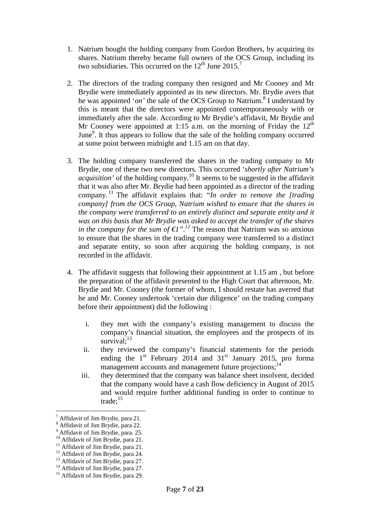- 1. Natrium bought the holding company from Gordon Brothers, by acquiring its shares. Natrium thereby became full owners of the OCS Group, including its two subsidiaries. This occurred on the  $12<sup>th</sup>$  June 2015.<sup>7</sup>
- 2. The directors of the trading company then resigned and Mr Cooney and Mr Brydie were immediately appointed as its new directors. Mr. Brydie avers that he was appointed '*on*' the sale of the OCS Group to Natrium.<sup>8</sup> I understand by this is meant that the directors were appointed contemporaneously with or immediately after the sale. According to Mr Brydie's affidavit, Mr Brydie and Mr Cooney were appointed at 1:15 a.m. on the morning of Friday the  $12<sup>th</sup>$ June<sup>9</sup>. It thus appears to follow that the sale of the holding company occurred at some point between midnight and 1.15 am on that day.
- 3. The holding company transferred the shares in the trading company to Mr Brydie, one of these two new directors. This occurred '*shortly after Natrium's acquisition'* of the holding company.<sup>10</sup> It seems to be suggested in the affidavit that it was also after Mr. Brydie had been appointed as a director of the trading company. <sup>11</sup> The affidavit explains that: "*In order to remove the [trading company] from the OCS Group, Natrium wished to ensure that the shares in the company were transferred to an entirely distinct and separate entity and it was on this basis that Mr Brydie was asked to accept the transfer of the shares in the company for the sum of*  $\epsilon l$ ".<sup>*12*</sup> The reason that Natrium was so anxious to ensure that the shares in the trading company were transferred to a distinct and separate entity, so soon after acquiring the holding company, is not recorded in the affidavit.
- 4. The affidavit suggests that following their appointment at 1.15 am , but before the preparation of the affidavit presented to the High Court that afternoon, Mr. Brydie and Mr. Cooney (the former of whom, I should restate has averred that he and Mr. Cooney undertook 'certain due diligence' on the trading company before their appointment) did the following :
	- i. they met with the company's existing management to discuss the company's financial situation, the employees and the prospects of its survival: $13$
	- ii. they reviewed the company's financial statements for the periods ending the  $1<sup>st</sup>$  February 2014 and 31 $<sup>st</sup>$  January 2015, pro forma</sup> management accounts and management future projections;<sup>14</sup>
	- iii. they determined that the company was balance sheet insolvent, decided that the company would have a cash flow deficiency in August of 2015 and would require further additional funding in order to continue to trade:<sup>15</sup>

 $\overline{a}$ 

<sup>7</sup> Affidavit of Jim Brydie, para 21.

<sup>8</sup> Affidavit of Jim Brydie, para 22.

<sup>9</sup> Affidavit of Jim Brydie, para. 25.

<sup>&</sup>lt;sup>10</sup> Affidavit of Jim Brydie, para 21.

<sup>&</sup>lt;sup>11</sup> Affidavit of Jim Brydie, para 21.

<sup>&</sup>lt;sup>12</sup> Affidavit of Jim Brydie, para 24.

<sup>&</sup>lt;sup>13</sup> Affidavit of Jim Brydie, para 27.

<sup>&</sup>lt;sup>14</sup> Affidavit of Jim Brydie, para 27.

<sup>&</sup>lt;sup>15</sup> Affidavit of Jim Brydie, para 29.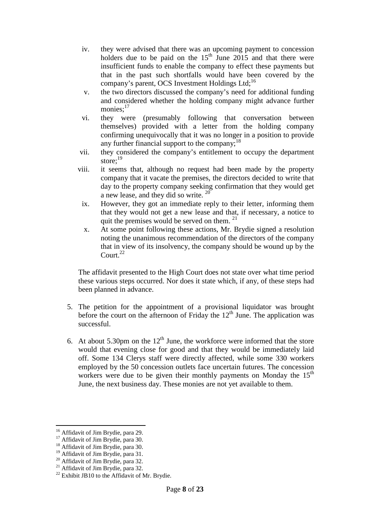- iv. they were advised that there was an upcoming payment to concession holders due to be paid on the  $15<sup>th</sup>$  June 2015 and that there were insufficient funds to enable the company to effect these payments but that in the past such shortfalls would have been covered by the company's parent, OCS Investment Holdings Ltd;<sup>16</sup>
- v. the two directors discussed the company's need for additional funding and considered whether the holding company might advance further monies: $17$
- vi. they were (presumably following that conversation between themselves) provided with a letter from the holding company confirming unequivocally that it was no longer in a position to provide any further financial support to the company; $^{18}$
- vii. they considered the company's entitlement to occupy the department store;<sup>19</sup>
- viii. it seems that, although no request had been made by the property company that it vacate the premises, the directors decided to write that day to the property company seeking confirmation that they would get a new lease, and they did so write.  $20$ 
	- ix. However, they got an immediate reply to their letter, informing them that they would not get a new lease and that, if necessary, a notice to quit the premises would be served on them.<sup>21</sup>
	- x. At some point following these actions, Mr. Brydie signed a resolution noting the unanimous recommendation of the directors of the company that in view of its insolvency, the company should be wound up by the Court. $^{22}$

The affidavit presented to the High Court does not state over what time period these various steps occurred. Nor does it state which, if any, of these steps had been planned in advance.

- 5. The petition for the appointment of a provisional liquidator was brought before the court on the afternoon of Friday the  $12<sup>th</sup>$  June. The application was successful.
- 6. At about 5.30pm on the  $12<sup>th</sup>$  June, the workforce were informed that the store would that evening close for good and that they would be immediately laid off. Some 134 Clerys staff were directly affected, while some 330 workers employed by the 50 concession outlets face uncertain futures. The concession workers were due to be given their monthly payments on Monday the  $15<sup>th</sup>$ June, the next business day. These monies are not yet available to them.

 $\overline{a}$ 

<sup>&</sup>lt;sup>16</sup> Affidavit of Jim Brydie, para 29.

<sup>&</sup>lt;sup>17</sup> Affidavit of Jim Brydie, para 30.

 $18$  Affidavit of Jim Brydie, para 30.

<sup>&</sup>lt;sup>19</sup> Affidavit of Jim Brydie, para 31.

<sup>20</sup> Affidavit of Jim Brydie, para 32.

<sup>&</sup>lt;sup>21</sup> Affidavit of Jim Brydie, para 32.

 $22$  Exhibit JB10 to the Affidavit of Mr. Brydie.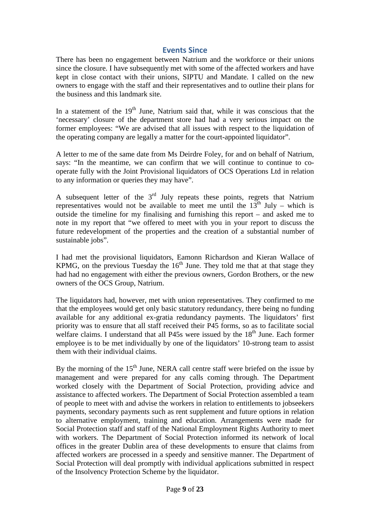## **Events Since**

There has been no engagement between Natrium and the workforce or their unions since the closure. I have subsequently met with some of the affected workers and have kept in close contact with their unions, SIPTU and Mandate. I called on the new owners to engage with the staff and their representatives and to outline their plans for the business and this landmark site.

In a statement of the  $19<sup>th</sup>$  June, Natrium said that, while it was conscious that the 'necessary' closure of the department store had had a very serious impact on the former employees: "We are advised that all issues with respect to the liquidation of the operating company are legally a matter for the court-appointed liquidator".

A letter to me of the same date from Ms Deirdre Foley, for and on behalf of Natrium, says: "In the meantime, we can confirm that we will continue to continue to cooperate fully with the Joint Provisional liquidators of OCS Operations Ltd in relation to any information or queries they may have".

A subsequent letter of the 3<sup>rd</sup> July repeats these points, regrets that Natrium representatives would not be available to meet me until the  $13<sup>th</sup>$  July – which is outside the timeline for my finalising and furnishing this report – and asked me to note in my report that "we offered to meet with you in your report to discuss the future redevelopment of the properties and the creation of a substantial number of sustainable jobs".

I had met the provisional liquidators, Eamonn Richardson and Kieran Wallace of KPMG, on the previous Tuesday the  $16<sup>th</sup>$  June. They told me that at that stage they had had no engagement with either the previous owners, Gordon Brothers, or the new owners of the OCS Group, Natrium.

The liquidators had, however, met with union representatives. They confirmed to me that the employees would get only basic statutory redundancy, there being no funding available for any additional ex-gratia redundancy payments. The liquidators' first priority was to ensure that all staff received their P45 forms, so as to facilitate social welfare claims. I understand that all  $P45s$  were issued by the  $18<sup>th</sup>$  June. Each former employee is to be met individually by one of the liquidators' 10-strong team to assist them with their individual claims.

By the morning of the  $15<sup>th</sup>$  June, NERA call centre staff were briefed on the issue by management and were prepared for any calls coming through. The Department worked closely with the Department of Social Protection, providing advice and assistance to affected workers. The Department of Social Protection assembled a team of people to meet with and advise the workers in relation to entitlements to jobseekers payments, secondary payments such as rent supplement and future options in relation to alternative employment, training and education. Arrangements were made for Social Protection staff and staff of the National Employment Rights Authority to meet with workers. The Department of Social Protection informed its network of local offices in the greater Dublin area of these developments to ensure that claims from affected workers are processed in a speedy and sensitive manner. The Department of Social Protection will deal promptly with individual applications submitted in respect of the Insolvency Protection Scheme by the liquidator.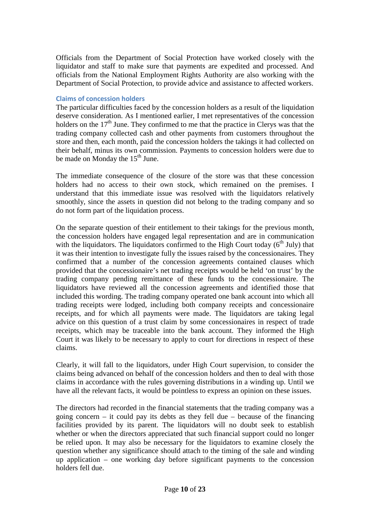Officials from the Department of Social Protection have worked closely with the liquidator and staff to make sure that payments are expedited and processed. And officials from the National Employment Rights Authority are also working with the Department of Social Protection, to provide advice and assistance to affected workers.

#### **Claims of concession holders**

The particular difficulties faced by the concession holders as a result of the liquidation deserve consideration. As I mentioned earlier, I met representatives of the concession holders on the  $17<sup>th</sup>$  June. They confirmed to me that the practice in Clerys was that the trading company collected cash and other payments from customers throughout the store and then, each month, paid the concession holders the takings it had collected on their behalf, minus its own commission. Payments to concession holders were due to be made on Monday the  $15<sup>th</sup>$  June.

The immediate consequence of the closure of the store was that these concession holders had no access to their own stock, which remained on the premises. I understand that this immediate issue was resolved with the liquidators relatively smoothly, since the assets in question did not belong to the trading company and so do not form part of the liquidation process.

On the separate question of their entitlement to their takings for the previous month, the concession holders have engaged legal representation and are in communication with the liquidators. The liquidators confirmed to the High Court today  $(6<sup>th</sup>$  July) that it was their intention to investigate fully the issues raised by the concessionaires. They confirmed that a number of the concession agreements contained clauses which provided that the concessionaire's net trading receipts would be held 'on trust' by the trading company pending remittance of these funds to the concessionaire. The liquidators have reviewed all the concession agreements and identified those that included this wording. The trading company operated one bank account into which all trading receipts were lodged, including both company receipts and concessionaire receipts, and for which all payments were made. The liquidators are taking legal advice on this question of a trust claim by some concessionaires in respect of trade receipts, which may be traceable into the bank account. They informed the High Court it was likely to be necessary to apply to court for directions in respect of these claims.

Clearly, it will fall to the liquidators, under High Court supervision, to consider the claims being advanced on behalf of the concession holders and then to deal with those claims in accordance with the rules governing distributions in a winding up. Until we have all the relevant facts, it would be pointless to express an opinion on these issues.

The directors had recorded in the financial statements that the trading company was a going concern – it could pay its debts as they fell due – because of the financing facilities provided by its parent. The liquidators will no doubt seek to establish whether or when the directors appreciated that such financial support could no longer be relied upon. It may also be necessary for the liquidators to examine closely the question whether any significance should attach to the timing of the sale and winding up application – one working day before significant payments to the concession holders fell due.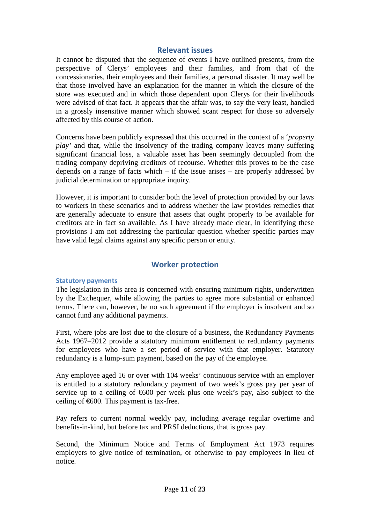## **Relevant issues**

It cannot be disputed that the sequence of events I have outlined presents, from the perspective of Clerys' employees and their families, and from that of the concessionaries, their employees and their families, a personal disaster. It may well be that those involved have an explanation for the manner in which the closure of the store was executed and in which those dependent upon Clerys for their livelihoods were advised of that fact. It appears that the affair was, to say the very least, handled in a grossly insensitive manner which showed scant respect for those so adversely affected by this course of action.

Concerns have been publicly expressed that this occurred in the context of a '*property play'* and that, while the insolvency of the trading company leaves many suffering significant financial loss, a valuable asset has been seemingly decoupled from the trading company depriving creditors of recourse. Whether this proves to be the case depends on a range of facts which  $-$  if the issue arises  $-$  are properly addressed by judicial determination or appropriate inquiry.

However, it is important to consider both the level of protection provided by our laws to workers in these scenarios and to address whether the law provides remedies that are generally adequate to ensure that assets that ought properly to be available for creditors are in fact so available. As I have already made clear, in identifying these provisions I am not addressing the particular question whether specific parties may have valid legal claims against any specific person or entity.

## **Worker protection**

#### **Statutory payments**

The legislation in this area is concerned with ensuring minimum rights, underwritten by the Exchequer, while allowing the parties to agree more substantial or enhanced terms. There can, however, be no such agreement if the employer is insolvent and so cannot fund any additional payments.

First, where jobs are lost due to the closure of a business, the Redundancy Payments Acts 1967–2012 provide a statutory minimum entitlement to redundancy payments for employees who have a set period of service with that employer. Statutory redundancy is a lump-sum payment, based on the pay of the employee.

Any employee aged 16 or over with 104 weeks' continuous service with an employer is entitled to a statutory redundancy payment of two week's gross pay per year of service up to a ceiling of  $\epsilon$ 600 per week plus one week's pay, also subject to the ceiling of  $\epsilon$ 600. This payment is tax-free.

Pay refers to current normal weekly pay, including average regular overtime and benefits-in-kind, but before tax and PRSI deductions, that is gross pay.

Second, the Minimum Notice and Terms of Employment Act 1973 requires employers to give notice of termination, or otherwise to pay employees in lieu of notice.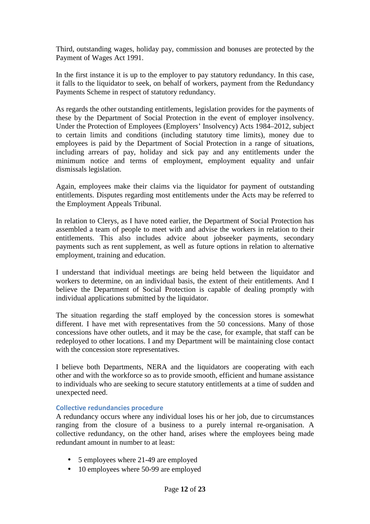Third, outstanding wages, holiday pay, commission and bonuses are protected by the Payment of Wages Act 1991.

In the first instance it is up to the employer to pay statutory redundancy. In this case, it falls to the liquidator to seek, on behalf of workers, payment from the Redundancy Payments Scheme in respect of statutory redundancy.

As regards the other outstanding entitlements, legislation provides for the payments of these by the Department of Social Protection in the event of employer insolvency. Under the Protection of Employees (Employers' Insolvency) Acts 1984–2012, subject to certain limits and conditions (including statutory time limits), money due to employees is paid by the Department of Social Protection in a range of situations, including arrears of pay, holiday and sick pay and any entitlements under the minimum notice and terms of employment, employment equality and unfair dismissals legislation.

Again, employees make their claims via the liquidator for payment of outstanding entitlements. Disputes regarding most entitlements under the Acts may be referred to the Employment Appeals Tribunal.

In relation to Clerys, as I have noted earlier, the Department of Social Protection has assembled a team of people to meet with and advise the workers in relation to their entitlements. This also includes advice about jobseeker payments, secondary payments such as rent supplement, as well as future options in relation to alternative employment, training and education.

I understand that individual meetings are being held between the liquidator and workers to determine, on an individual basis, the extent of their entitlements. And I believe the Department of Social Protection is capable of dealing promptly with individual applications submitted by the liquidator.

The situation regarding the staff employed by the concession stores is somewhat different. I have met with representatives from the 50 concessions. Many of those concessions have other outlets, and it may be the case, for example, that staff can be redeployed to other locations. I and my Department will be maintaining close contact with the concession store representatives.

I believe both Departments, NERA and the liquidators are cooperating with each other and with the workforce so as to provide smooth, efficient and humane assistance to individuals who are seeking to secure statutory entitlements at a time of sudden and unexpected need.

#### **Collective redundancies procedure**

A redundancy occurs where any individual loses his or her job, due to circumstances ranging from the closure of a business to a purely internal re-organisation. A collective redundancy, on the other hand, arises where the employees being made redundant amount in number to at least:

- 5 employees where 21-49 are employed
- 10 employees where 50-99 are employed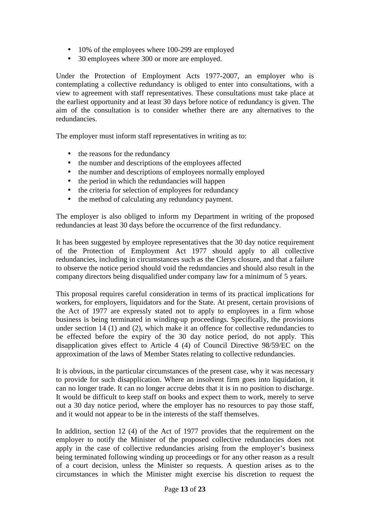- 10% of the employees where 100-299 are employed
- 30 employees where 300 or more are employed.

Under the Protection of Employment Acts 1977-2007, an employer who is contemplating a collective redundancy is obliged to enter into consultations, with a view to agreement with staff representatives. These consultations must take place at the earliest opportunity and at least 30 days before notice of redundancy is given. The aim of the consultation is to consider whether there are any alternatives to the redundancies.

The employer must inform staff representatives in writing as to:

- the reasons for the redundancy
- the number and descriptions of the employees affected
- the number and descriptions of employees normally employed
- the period in which the redundancies will happen
- the criteria for selection of employees for redundancy
- the method of calculating any redundancy payment.

The employer is also obliged to inform my Department in writing of the proposed redundancies at least 30 days before the occurrence of the first redundancy.

It has been suggested by employee representatives that the 30 day notice requirement of the Protection of Employment Act 1977 should apply to all collective redundancies, including in circumstances such as the Clerys closure, and that a failure to observe the notice period should void the redundancies and should also result in the company directors being disqualified under company law for a minimum of 5 years.

This proposal requires careful consideration in terms of its practical implications for workers, for employers, liquidators and for the State. At present, certain provisions of the Act of 1977 are expressly stated not to apply to employees in a firm whose business is being terminated in winding-up proceedings. Specifically, the provisions under section 14 (1) and (2), which make it an offence for collective redundancies to be effected before the expiry of the 30 day notice period, do not apply. This disapplication gives effect to Article 4 (4) of Council Directive 98/59/EC on the approximation of the laws of Member States relating to collective redundancies.

It is obvious, in the particular circumstances of the present case, why it was necessary to provide for such disapplication. Where an insolvent firm goes into liquidation, it can no longer trade. It can no longer accrue debts that it is in no position to discharge. It would be difficult to keep staff on books and expect them to work, merely to serve out a 30 day notice period, where the employer has no resources to pay those staff, and it would not appear to be in the interests of the staff themselves.

In addition, section 12 (4) of the Act of 1977 provides that the requirement on the employer to notify the Minister of the proposed collective redundancies does not apply in the case of collective redundancies arising from the employer's business being terminated following winding up proceedings or for any other reason as a result of a court decision, unless the Minister so requests. A question arises as to the circumstances in which the Minister might exercise his discretion to request the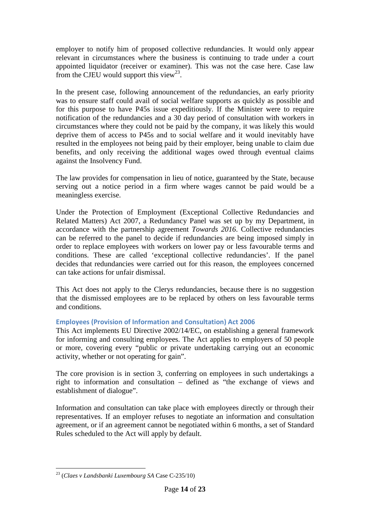employer to notify him of proposed collective redundancies. It would only appear relevant in circumstances where the business is continuing to trade under a court appointed liquidator (receiver or examiner). This was not the case here. Case law from the CJEU would support this view<sup>23</sup>.

In the present case, following announcement of the redundancies, an early priority was to ensure staff could avail of social welfare supports as quickly as possible and for this purpose to have P45s issue expeditiously. If the Minister were to require notification of the redundancies and a 30 day period of consultation with workers in circumstances where they could not be paid by the company, it was likely this would deprive them of access to P45s and to social welfare and it would inevitably have resulted in the employees not being paid by their employer, being unable to claim due benefits, and only receiving the additional wages owed through eventual claims against the Insolvency Fund.

The law provides for compensation in lieu of notice, guaranteed by the State, because serving out a notice period in a firm where wages cannot be paid would be a meaningless exercise.

Under the Protection of Employment (Exceptional Collective Redundancies and Related Matters) Act 2007, a Redundancy Panel was set up by my Department, in accordance with the partnership agreement *Towards 2016*. Collective redundancies can be referred to the panel to decide if redundancies are being imposed simply in order to replace employees with workers on lower pay or less favourable terms and conditions. These are called 'exceptional collective redundancies'. If the panel decides that redundancies were carried out for this reason, the employees concerned can take actions for unfair dismissal.

This Act does not apply to the Clerys redundancies, because there is no suggestion that the dismissed employees are to be replaced by others on less favourable terms and conditions.

## **Employees (Provision of Information and Consultation) Act 2006**

This Act implements EU Directive 2002/14/EC, on establishing a general framework for informing and consulting employees. The Act applies to employers of 50 people or more, covering every "public or private undertaking carrying out an economic activity, whether or not operating for gain".

The core provision is in section 3, conferring on employees in such undertakings a right to information and consultation – defined as "the exchange of views and establishment of dialogue".

Information and consultation can take place with employees directly or through their representatives. If an employer refuses to negotiate an information and consultation agreement, or if an agreement cannot be negotiated within 6 months, a set of Standard Rules scheduled to the Act will apply by default.

 $\overline{a}$ <sup>23</sup> (*Claes v Landsbanki Luxembourg SA* Case C-235/10)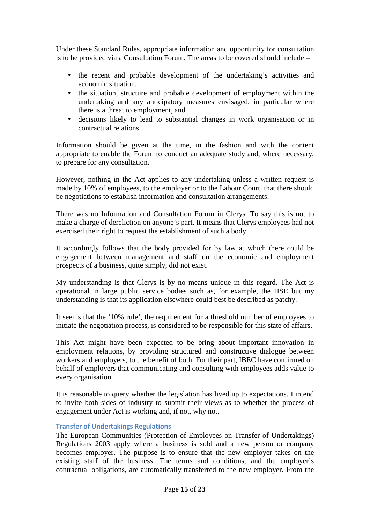Under these Standard Rules, appropriate information and opportunity for consultation is to be provided via a Consultation Forum. The areas to be covered should include –

- the recent and probable development of the undertaking's activities and economic situation,
- the situation, structure and probable development of employment within the undertaking and any anticipatory measures envisaged, in particular where there is a threat to employment, and
- decisions likely to lead to substantial changes in work organisation or in contractual relations.

Information should be given at the time, in the fashion and with the content appropriate to enable the Forum to conduct an adequate study and, where necessary, to prepare for any consultation.

However, nothing in the Act applies to any undertaking unless a written request is made by 10% of employees, to the employer or to the Labour Court, that there should be negotiations to establish information and consultation arrangements.

There was no Information and Consultation Forum in Clerys. To say this is not to make a charge of dereliction on anyone's part. It means that Clerys employees had not exercised their right to request the establishment of such a body.

It accordingly follows that the body provided for by law at which there could be engagement between management and staff on the economic and employment prospects of a business, quite simply, did not exist.

My understanding is that Clerys is by no means unique in this regard. The Act is operational in large public service bodies such as, for example, the HSE but my understanding is that its application elsewhere could best be described as patchy.

It seems that the '10% rule', the requirement for a threshold number of employees to initiate the negotiation process, is considered to be responsible for this state of affairs.

This Act might have been expected to be bring about important innovation in employment relations, by providing structured and constructive dialogue between workers and employers, to the benefit of both. For their part, IBEC have confirmed on behalf of employers that communicating and consulting with employees adds value to every organisation.

It is reasonable to query whether the legislation has lived up to expectations. I intend to invite both sides of industry to submit their views as to whether the process of engagement under Act is working and, if not, why not.

#### **Transfer of Undertakings Regulations**

The European Communities (Protection of Employees on Transfer of Undertakings) Regulations 2003 apply where a business is sold and a new person or company becomes employer. The purpose is to ensure that the new employer takes on the existing staff of the business. The terms and conditions, and the employer's contractual obligations, are automatically transferred to the new employer. From the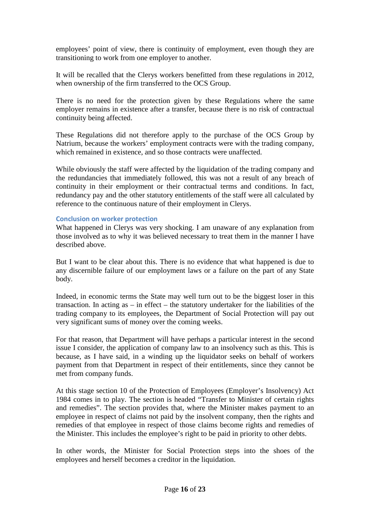employees' point of view, there is continuity of employment, even though they are transitioning to work from one employer to another.

It will be recalled that the Clerys workers benefitted from these regulations in 2012, when ownership of the firm transferred to the OCS Group.

There is no need for the protection given by these Regulations where the same employer remains in existence after a transfer, because there is no risk of contractual continuity being affected.

These Regulations did not therefore apply to the purchase of the OCS Group by Natrium, because the workers' employment contracts were with the trading company, which remained in existence, and so those contracts were unaffected.

While obviously the staff were affected by the liquidation of the trading company and the redundancies that immediately followed, this was not a result of any breach of continuity in their employment or their contractual terms and conditions. In fact, redundancy pay and the other statutory entitlements of the staff were all calculated by reference to the continuous nature of their employment in Clerys.

#### **Conclusion on worker protection**

What happened in Clerys was very shocking. I am unaware of any explanation from those involved as to why it was believed necessary to treat them in the manner I have described above.

But I want to be clear about this. There is no evidence that what happened is due to any discernible failure of our employment laws or a failure on the part of any State body.

Indeed, in economic terms the State may well turn out to be the biggest loser in this transaction. In acting as – in effect – the statutory undertaker for the liabilities of the trading company to its employees, the Department of Social Protection will pay out very significant sums of money over the coming weeks.

For that reason, that Department will have perhaps a particular interest in the second issue I consider, the application of company law to an insolvency such as this. This is because, as I have said, in a winding up the liquidator seeks on behalf of workers payment from that Department in respect of their entitlements, since they cannot be met from company funds.

At this stage section 10 of the Protection of Employees (Employer's Insolvency) Act 1984 comes in to play. The section is headed "Transfer to Minister of certain rights and remedies". The section provides that, where the Minister makes payment to an employee in respect of claims not paid by the insolvent company, then the rights and remedies of that employee in respect of those claims become rights and remedies of the Minister. This includes the employee's right to be paid in priority to other debts.

In other words, the Minister for Social Protection steps into the shoes of the employees and herself becomes a creditor in the liquidation.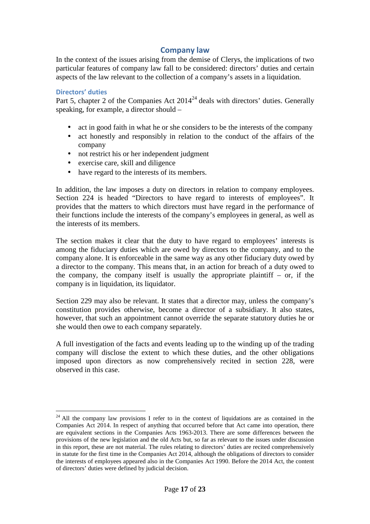## **Company law**

In the context of the issues arising from the demise of Clerys, the implications of two particular features of company law fall to be considered: directors' duties and certain aspects of the law relevant to the collection of a company's assets in a liquidation.

#### **Directors' duties**

 $\overline{a}$ 

Part 5, chapter 2 of the Companies Act  $2014^{24}$  deals with directors' duties. Generally speaking, for example, a director should –

- act in good faith in what he or she considers to be the interests of the company
- act honestly and responsibly in relation to the conduct of the affairs of the company
- not restrict his or her independent judgment
- exercise care, skill and diligence
- have regard to the interests of its members.

In addition, the law imposes a duty on directors in relation to company employees. Section 224 is headed "Directors to have regard to interests of employees". It provides that the matters to which directors must have regard in the performance of their functions include the interests of the company's employees in general, as well as the interests of its members.

The section makes it clear that the duty to have regard to employees' interests is among the fiduciary duties which are owed by directors to the company, and to the company alone. It is enforceable in the same way as any other fiduciary duty owed by a director to the company. This means that, in an action for breach of a duty owed to the company, the company itself is usually the appropriate plaintiff  $-$  or, if the company is in liquidation, its liquidator.

Section 229 may also be relevant. It states that a director may, unless the company's constitution provides otherwise, become a director of a subsidiary. It also states, however, that such an appointment cannot override the separate statutory duties he or she would then owe to each company separately.

A full investigation of the facts and events leading up to the winding up of the trading company will disclose the extent to which these duties, and the other obligations imposed upon directors as now comprehensively recited in section 228, were observed in this case.

 $24$  All the company law provisions I refer to in the context of liquidations are as contained in the Companies Act 2014. In respect of anything that occurred before that Act came into operation, there are equivalent sections in the Companies Acts 1963-2013. There are some differences between the provisions of the new legislation and the old Acts but, so far as relevant to the issues under discussion in this report, these are not material. The rules relating to directors' duties are recited comprehensively in statute for the first time in the Companies Act 2014, although the obligations of directors to consider the interests of employees appeared also in the Companies Act 1990. Before the 2014 Act, the content of directors' duties were defined by judicial decision.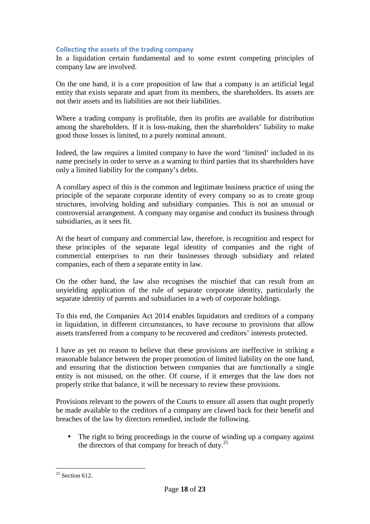#### **Collecting the assets of the trading company**

In a liquidation certain fundamental and to some extent competing principles of company law are involved.

On the one hand, it is a core proposition of law that a company is an artificial legal entity that exists separate and apart from its members, the shareholders. Its assets are not their assets and its liabilities are not their liabilities.

Where a trading company is profitable, then its profits are available for distribution among the shareholders. If it is loss-making, then the shareholders' liability to make good those losses is limited, to a purely nominal amount.

Indeed, the law requires a limited company to have the word 'limited' included in its name precisely in order to serve as a warning to third parties that its shareholders have only a limited liability for the company's debts.

A corollary aspect of this is the common and legitimate business practice of using the principle of the separate corporate identity of every company so as to create group structures, involving holding and subsidiary companies. This is not an unusual or controversial arrangement. A company may organise and conduct its business through subsidiaries, as it sees fit.

At the heart of company and commercial law, therefore, is recognition and respect for these principles of the separate legal identity of companies and the right of commercial enterprises to run their businesses through subsidiary and related companies, each of them a separate entity in law.

On the other hand, the law also recognises the mischief that can result from an unyielding application of the rule of separate corporate identity, particularly the separate identity of parents and subsidiaries in a web of corporate holdings.

To this end, the Companies Act 2014 enables liquidators and creditors of a company in liquidation, in different circumstances, to have recourse to provisions that allow assets transferred from a company to be recovered and creditors' interests protected.

I have as yet no reason to believe that these provisions are ineffective in striking a reasonable balance between the proper promotion of limited liability on the one hand, and ensuring that the distinction between companies that are functionally a single entity is not misused, on the other. Of course, if it emerges that the law does not properly strike that balance, it will be necessary to review these provisions.

Provisions relevant to the powers of the Courts to ensure all assets that ought properly be made available to the creditors of a company are clawed back for their benefit and breaches of the law by directors remedied, include the following.

• The right to bring proceedings in the course of winding up a company against the directors of that company for breach of duty.<sup>25</sup>

 $\overline{a}$  $25$  Section 612.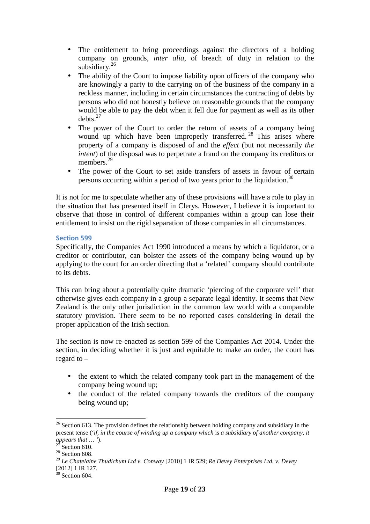- The entitlement to bring proceedings against the directors of a holding company on grounds, *inter alia*, of breach of duty in relation to the subsidiary.<sup>26</sup>
- The ability of the Court to impose liability upon officers of the company who are knowingly a party to the carrying on of the business of the company in a reckless manner, including in certain circumstances the contracting of debts by persons who did not honestly believe on reasonable grounds that the company would be able to pay the debt when it fell due for payment as well as its other  $debts.<sup>27</sup>$
- The power of the Court to order the return of assets of a company being wound up which have been improperly transferred.<sup>28</sup> This arises where property of a company is disposed of and the *effect* (but not necessarily *the intent*) of the disposal was to perpetrate a fraud on the company its creditors or members.<sup>29</sup>
- The power of the Court to set aside transfers of assets in favour of certain persons occurring within a period of two years prior to the liquidation.<sup>30</sup>

It is not for me to speculate whether any of these provisions will have a role to play in the situation that has presented itself in Clerys. However, I believe it is important to observe that those in control of different companies within a group can lose their entitlement to insist on the rigid separation of those companies in all circumstances.

#### **Section 599**

Specifically, the Companies Act 1990 introduced a means by which a liquidator, or a creditor or contributor, can bolster the assets of the company being wound up by applying to the court for an order directing that a 'related' company should contribute to its debts.

This can bring about a potentially quite dramatic 'piercing of the corporate veil' that otherwise gives each company in a group a separate legal identity. It seems that New Zealand is the only other jurisdiction in the common law world with a comparable statutory provision. There seem to be no reported cases considering in detail the proper application of the Irish section.

The section is now re-enacted as section 599 of the Companies Act 2014. Under the section, in deciding whether it is just and equitable to make an order, the court has regard to –

- the extent to which the related company took part in the management of the company being wound up;
- the conduct of the related company towards the creditors of the company being wound up;

 $\overline{a}$  $26$  Section 613. The provision defines the relationship between holding company and subsidiary in the present tense ('*if, in the course of winding up a company which* is *a subsidiary of another company, it appears that ...* ').

Section 610.

 $28$  Section 608.

<sup>29</sup> *Le Chatelaine Thudichum Ltd v. Conway* [2010] 1 IR 529; *Re Devey Enterprises Ltd. v. Devey* [2012] 1 IR 127.

 $30$  Section 604.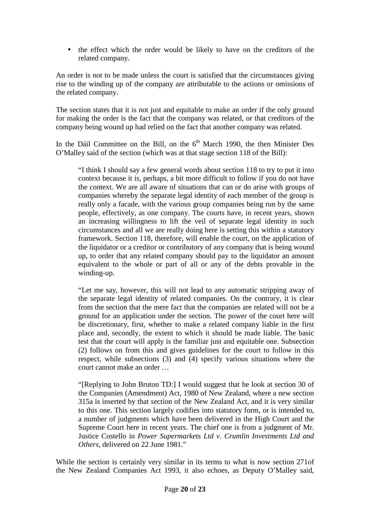• the effect which the order would be likely to have on the creditors of the related company.

An order is not to be made unless the court is satisfied that the circumstances giving rise to the winding up of the company are attributable to the actions or omissions of the related company.

The section states that it is not just and equitable to make an order if the only ground for making the order is the fact that the company was related, or that creditors of the company being wound up had relied on the fact that another company was related.

In the Dáil Committee on the Bill, on the  $6<sup>th</sup>$  March 1990, the then Minister Des O'Malley said of the section (which was at that stage section 118 of the Bill):

"I think I should say a few general words about section 118 to try to put it into context because it is, perhaps, a bit more difficult to follow if you do not have the context. We are all aware of situations that can or do arise with groups of companies whereby the separate legal identity of each member of the group is really only a facade, with the various group companies being run by the same people, effectively, as one company. The courts have, in recent years, shown an increasing willingness to lift the veil of separate legal identity in such circumstances and all we are really doing here is setting this within a statutory framework. Section 118, therefore, will enable the court, on the application of the liquidator or a creditor or contributory of any company that is being wound up, to order that any related company should pay to the liquidator an amount equivalent to the whole or part of all or any of the debts provable in the winding-up.

"Let me say, however, this will not lead to any automatic stripping away of the separate legal identity of related companies. On the contrary, it is clear from the section that the mere fact that the companies are related will not be a ground for an application under the section. The power of the court here will be discretionary, first, whether to make a related company liable in the first place and, secondly, the extent to which it should be made liable. The basic test that the court will apply is the familiar just and equitable one. Subsection (2) follows on from this and gives guidelines for the court to follow in this respect, while subsections (3) and (4) specify various situations where the court cannot make an order …

"[Replying to John Bruton TD:] I would suggest that he look at section 30 of the Companies (Amendment) Act, 1980 of New Zealand, where a new section 315a is inserted by that section of the New Zealand Act, and it is very similar to this one. This section largely codifies into statutory form, or is intended to, a number of judgments which have been delivered in the High Court and the Supreme Court here in recent years. The chief one is from a judgment of Mr. Justice Costello in *Power Supermarkets Ltd v. Crumlin Investments Ltd and Others*, delivered on 22 June 1981."

While the section is certainly very similar in its terms to what is now section 271of the New Zealand Companies Act 1993, it also echoes, as Deputy O'Malley said,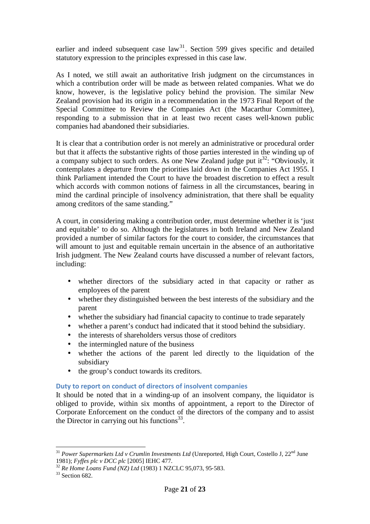earlier and indeed subsequent case  $law<sup>31</sup>$ . Section 599 gives specific and detailed statutory expression to the principles expressed in this case law.

As I noted, we still await an authoritative Irish judgment on the circumstances in which a contribution order will be made as between related companies. What we do know, however, is the legislative policy behind the provision. The similar New Zealand provision had its origin in a recommendation in the 1973 Final Report of the Special Committee to Review the Companies Act (the Macarthur Committee), responding to a submission that in at least two recent cases well-known public companies had abandoned their subsidiaries.

It is clear that a contribution order is not merely an administrative or procedural order but that it affects the substantive rights of those parties interested in the winding up of a company subject to such orders. As one New Zealand judge put  $it^{32}$ : "Obviously, it contemplates a departure from the priorities laid down in the Companies Act 1955. I think Parliament intended the Court to have the broadest discretion to effect a result which accords with common notions of fairness in all the circumstances, bearing in mind the cardinal principle of insolvency administration, that there shall be equality among creditors of the same standing."

A court, in considering making a contribution order, must determine whether it is 'just and equitable' to do so. Although the legislatures in both Ireland and New Zealand provided a number of similar factors for the court to consider, the circumstances that will amount to just and equitable remain uncertain in the absence of an authoritative Irish judgment. The New Zealand courts have discussed a number of relevant factors, including:

- whether directors of the subsidiary acted in that capacity or rather as employees of the parent
- whether they distinguished between the best interests of the subsidiary and the parent
- whether the subsidiary had financial capacity to continue to trade separately
- whether a parent's conduct had indicated that it stood behind the subsidiary.
- the interests of shareholders versus those of creditors
- the intermingled nature of the business
- whether the actions of the parent led directly to the liquidation of the subsidiary
- the group's conduct towards its creditors.

## **Duty to report on conduct of directors of insolvent companies**

It should be noted that in a winding-up of an insolvent company, the liquidator is obliged to provide, within six months of appointment, a report to the Director of Corporate Enforcement on the conduct of the directors of the company and to assist the Director in carrying out his functions $^{33}$ .

 $\overline{a}$ <sup>31</sup> Power Supermarkets Ltd v Crumlin Investments Ltd (Unreported, High Court, Costello J, 22<sup>nd</sup> June 1981); *Fyffes plc v DCC plc* [2005] IEHC 477.

<sup>32</sup> *Re Home Loans Fund (NZ) Ltd* (1983) 1 NZCLC 95,073, 95‐583.

<sup>33</sup> Section 682.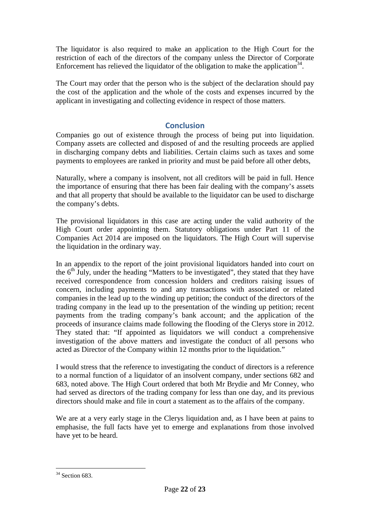The liquidator is also required to make an application to the High Court for the restriction of each of the directors of the company unless the Director of Corporate Enforcement has relieved the liquidator of the obligation to make the application<sup>34</sup>.

The Court may order that the person who is the subject of the declaration should pay the cost of the application and the whole of the costs and expenses incurred by the applicant in investigating and collecting evidence in respect of those matters.

## **Conclusion**

Companies go out of existence through the process of being put into liquidation. Company assets are collected and disposed of and the resulting proceeds are applied in discharging company debts and liabilities. Certain claims such as taxes and some payments to employees are ranked in priority and must be paid before all other debts,

Naturally, where a company is insolvent, not all creditors will be paid in full. Hence the importance of ensuring that there has been fair dealing with the company's assets and that all property that should be available to the liquidator can be used to discharge the company's debts.

The provisional liquidators in this case are acting under the valid authority of the High Court order appointing them. Statutory obligations under Part 11 of the Companies Act 2014 are imposed on the liquidators. The High Court will supervise the liquidation in the ordinary way.

In an appendix to the report of the joint provisional liquidators handed into court on the  $6<sup>th</sup>$  July, under the heading "Matters to be investigated", they stated that they have received correspondence from concession holders and creditors raising issues of concern, including payments to and any transactions with associated or related companies in the lead up to the winding up petition; the conduct of the directors of the trading company in the lead up to the presentation of the winding up petition; recent payments from the trading company's bank account; and the application of the proceeds of insurance claims made following the flooding of the Clerys store in 2012. They stated that: "If appointed as liquidators we will conduct a comprehensive investigation of the above matters and investigate the conduct of all persons who acted as Director of the Company within 12 months prior to the liquidation."

I would stress that the reference to investigating the conduct of directors is a reference to a normal function of a liquidator of an insolvent company, under sections 682 and 683, noted above. The High Court ordered that both Mr Brydie and Mr Conney, who had served as directors of the trading company for less than one day, and its previous directors should make and file in court a statement as to the affairs of the company.

We are at a very early stage in the Clerys liquidation and, as I have been at pains to emphasise, the full facts have yet to emerge and explanations from those involved have yet to be heard.

 $\overline{a}$ 

 $34$  Section 683.